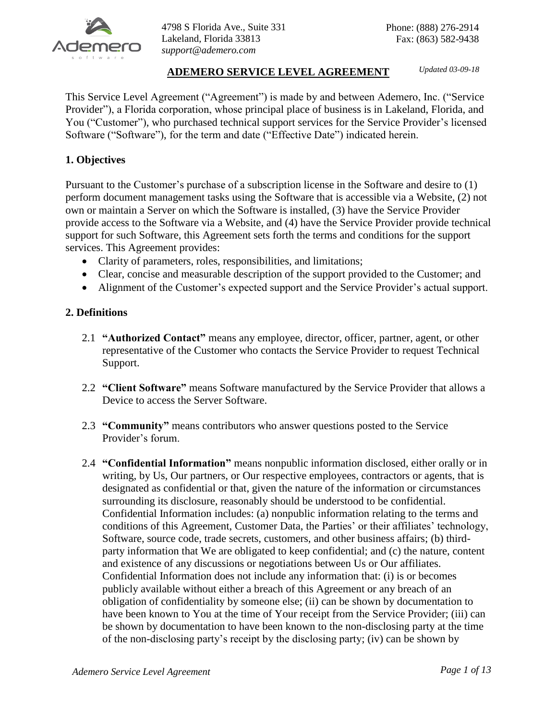

# **ADEMERO SERVICE LEVEL AGREEMENT** *Updated 03-09-18*

This Service Level Agreement ("Agreement") is made by and between Ademero, Inc. ("Service Provider"), a Florida corporation, whose principal place of business is in Lakeland, Florida, and You ("Customer"), who purchased technical support services for the Service Provider's licensed Software ("Software"), for the term and date ("Effective Date") indicated herein.

## **1. Objectives**

Pursuant to the Customer's purchase of a subscription license in the Software and desire to (1) perform document management tasks using the Software that is accessible via a Website, (2) not own or maintain a Server on which the Software is installed, (3) have the Service Provider provide access to the Software via a Website, and (4) have the Service Provider provide technical support for such Software, this Agreement sets forth the terms and conditions for the support services. This Agreement provides:

- Clarity of parameters, roles, responsibilities, and limitations;
- Clear, concise and measurable description of the support provided to the Customer; and
- Alignment of the Customer's expected support and the Service Provider's actual support.

### **2. Definitions**

- 2.1 **"Authorized Contact"** means any employee, director, officer, partner, agent, or other representative of the Customer who contacts the Service Provider to request Technical Support.
- 2.2 **"Client Software"** means Software manufactured by the Service Provider that allows a Device to access the Server Software.
- 2.3 **"Community"** means contributors who answer questions posted to the Service Provider's forum.
- 2.4 **"Confidential Information"** means nonpublic information disclosed, either orally or in writing, by Us, Our partners, or Our respective employees, contractors or agents, that is designated as confidential or that, given the nature of the information or circumstances surrounding its disclosure, reasonably should be understood to be confidential. Confidential Information includes: (a) nonpublic information relating to the terms and conditions of this Agreement, Customer Data, the Parties' or their affiliates' technology, Software, source code, trade secrets, customers, and other business affairs; (b) thirdparty information that We are obligated to keep confidential; and (c) the nature, content and existence of any discussions or negotiations between Us or Our affiliates. Confidential Information does not include any information that: (i) is or becomes publicly available without either a breach of this Agreement or any breach of an obligation of confidentiality by someone else; (ii) can be shown by documentation to have been known to You at the time of Your receipt from the Service Provider; (iii) can be shown by documentation to have been known to the non-disclosing party at the time of the non-disclosing party's receipt by the disclosing party; (iv) can be shown by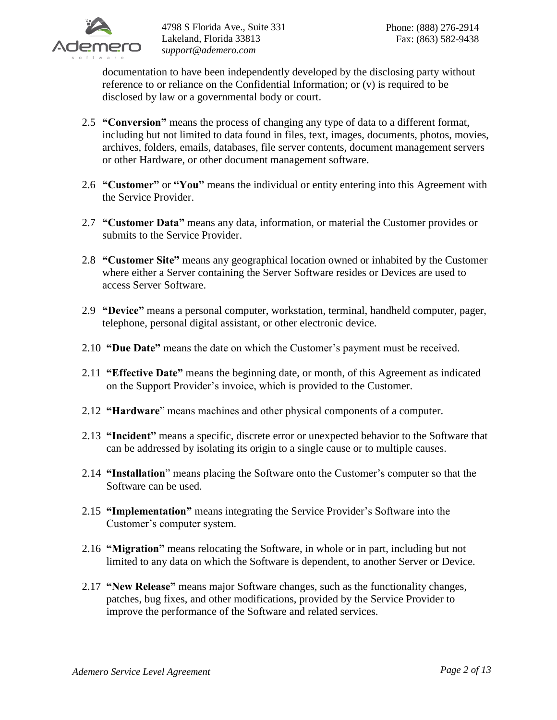

documentation to have been independently developed by the disclosing party without reference to or reliance on the Confidential Information; or (v) is required to be disclosed by law or a governmental body or court.

- 2.5 **"Conversion"** means the process of changing any type of data to a different format, including but not limited to data found in files, text, images, documents, photos, movies, archives, folders, emails, databases, file server contents, document management servers or other Hardware, or other document management software.
- 2.6 **"Customer"** or **"You"** means the individual or entity entering into this Agreement with the Service Provider.
- 2.7 **"Customer Data"** means any data, information, or material the Customer provides or submits to the Service Provider.
- 2.8 **"Customer Site"** means any geographical location owned or inhabited by the Customer where either a Server containing the Server Software resides or Devices are used to access Server Software.
- 2.9 **"Device"** means a personal computer, workstation, terminal, handheld computer, pager, telephone, personal digital assistant, or other electronic device.
- 2.10 **"Due Date"** means the date on which the Customer's payment must be received.
- 2.11 **"Effective Date"** means the beginning date, or month, of this Agreement as indicated on the Support Provider's invoice, which is provided to the Customer.
- 2.12 **"Hardware**" means machines and other physical components of a computer.
- 2.13 **"Incident"** means a specific, discrete error or unexpected behavior to the Software that can be addressed by isolating its origin to a single cause or to multiple causes.
- 2.14 **"Installation**" means placing the Software onto the Customer's computer so that the Software can be used.
- 2.15 **"Implementation"** means integrating the Service Provider's Software into the Customer's computer system.
- 2.16 **"Migration"** means relocating the Software, in whole or in part, including but not limited to any data on which the Software is dependent, to another Server or Device.
- 2.17 **"New Release"** means major Software changes, such as the functionality changes, patches, bug fixes, and other modifications, provided by the Service Provider to improve the performance of the Software and related services.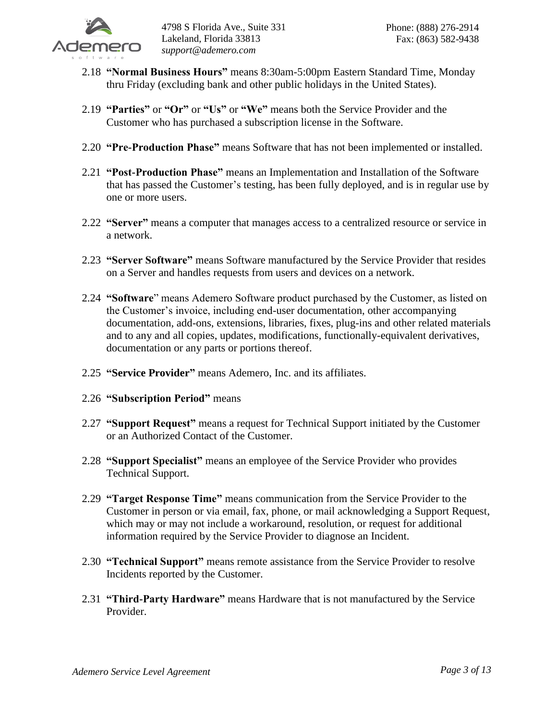

- 2.18 **"Normal Business Hours"** means 8:30am-5:00pm Eastern Standard Time, Monday thru Friday (excluding bank and other public holidays in the United States).
- 2.19 **"Parties"** or **"Or"** or **"Us"** or **"We"** means both the Service Provider and the Customer who has purchased a subscription license in the Software.
- 2.20 **"Pre-Production Phase"** means Software that has not been implemented or installed.
- 2.21 **"Post-Production Phase"** means an Implementation and Installation of the Software that has passed the Customer's testing, has been fully deployed, and is in regular use by one or more users.
- 2.22 **"Server"** means a computer that manages access to a centralized resource or service in a network.
- 2.23 **"Server Software"** means Software manufactured by the Service Provider that resides on a Server and handles requests from users and devices on a network.
- 2.24 **"Software**" means Ademero Software product purchased by the Customer, as listed on the Customer's invoice, including end-user documentation, other accompanying documentation, add-ons, extensions, libraries, fixes, plug-ins and other related materials and to any and all copies, updates, modifications, functionally-equivalent derivatives, documentation or any parts or portions thereof.
- 2.25 **"Service Provider"** means Ademero, Inc. and its affiliates.
- 2.26 **"Subscription Period"** means
- 2.27 **"Support Request"** means a request for Technical Support initiated by the Customer or an Authorized Contact of the Customer.
- 2.28 **"Support Specialist"** means an employee of the Service Provider who provides Technical Support.
- 2.29 **"Target Response Time"** means communication from the Service Provider to the Customer in person or via email, fax, phone, or mail acknowledging a Support Request, which may or may not include a workaround, resolution, or request for additional information required by the Service Provider to diagnose an Incident.
- 2.30 **"Technical Support"** means remote assistance from the Service Provider to resolve Incidents reported by the Customer.
- 2.31 **"Third-Party Hardware"** means Hardware that is not manufactured by the Service Provider.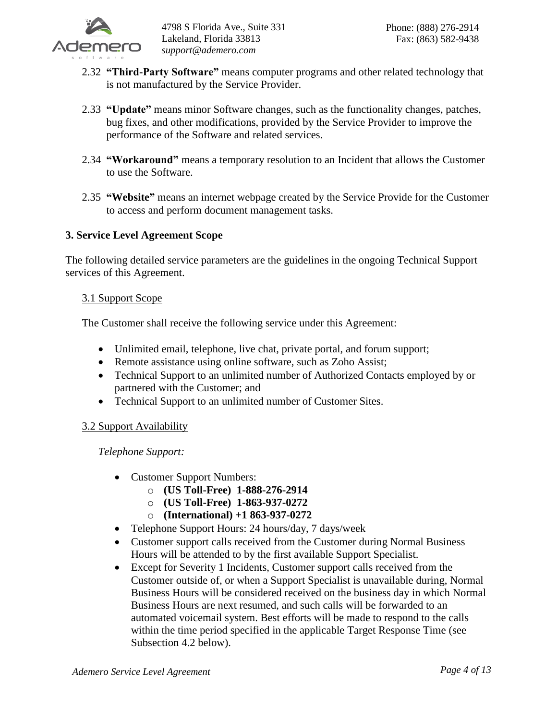

- 2.32 **"Third-Party Software"** means computer programs and other related technology that is not manufactured by the Service Provider.
- 2.33 **"Update"** means minor Software changes, such as the functionality changes, patches, bug fixes, and other modifications, provided by the Service Provider to improve the performance of the Software and related services.
- 2.34 **"Workaround"** means a temporary resolution to an Incident that allows the Customer to use the Software.
- 2.35 **"Website"** means an internet webpage created by the Service Provide for the Customer to access and perform document management tasks.

# **3. Service Level Agreement Scope**

The following detailed service parameters are the guidelines in the ongoing Technical Support services of this Agreement.

## 3.1 Support Scope

The Customer shall receive the following service under this Agreement:

- Unlimited email, telephone, live chat, private portal, and forum support;
- Remote assistance using online software, such as Zoho Assist;
- Technical Support to an unlimited number of Authorized Contacts employed by or partnered with the Customer; and
- Technical Support to an unlimited number of Customer Sites.

## 3.2 Support Availability

*Telephone Support:*

- Customer Support Numbers:
	- o **(US Toll-Free) 1-888-276-2914**
	- o **(US Toll-Free) 1-863-937-0272**
	- o **(International) +1 863-937-0272**
- Telephone Support Hours: 24 hours/day, 7 days/week
- Customer support calls received from the Customer during Normal Business Hours will be attended to by the first available Support Specialist.
- Except for Severity 1 Incidents, Customer support calls received from the Customer outside of, or when a Support Specialist is unavailable during, Normal Business Hours will be considered received on the business day in which Normal Business Hours are next resumed, and such calls will be forwarded to an automated voicemail system. Best efforts will be made to respond to the calls within the time period specified in the applicable Target Response Time (see Subsection 4.2 below).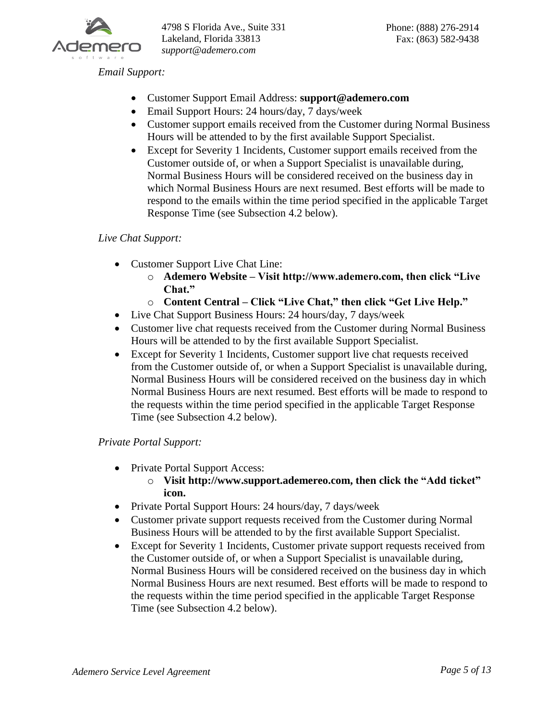

*Email Support:*

- Customer Support Email Address: **support@ademero.com**
- Email Support Hours: 24 hours/day, 7 days/week
- Customer support emails received from the Customer during Normal Business Hours will be attended to by the first available Support Specialist.
- Except for Severity 1 Incidents, Customer support emails received from the Customer outside of, or when a Support Specialist is unavailable during, Normal Business Hours will be considered received on the business day in which Normal Business Hours are next resumed. Best efforts will be made to respond to the emails within the time period specified in the applicable Target Response Time (see Subsection 4.2 below).

## *Live Chat Support:*

- Customer Support Live Chat Line:
	- o **Ademero Website – Visit http://www.ademero.com, then click "Live Chat."**
	- o **Content Central – Click "Live Chat," then click "Get Live Help."**
- Live Chat Support Business Hours: 24 hours/day, 7 days/week
- Customer live chat requests received from the Customer during Normal Business Hours will be attended to by the first available Support Specialist.
- Except for Severity 1 Incidents, Customer support live chat requests received from the Customer outside of, or when a Support Specialist is unavailable during, Normal Business Hours will be considered received on the business day in which Normal Business Hours are next resumed. Best efforts will be made to respond to the requests within the time period specified in the applicable Target Response Time (see Subsection 4.2 below).

*Private Portal Support:*

- Private Portal Support Access:
	- o **Visit http://www.support.ademereo.com, then click the "Add ticket" icon.**
- Private Portal Support Hours: 24 hours/day, 7 days/week
- Customer private support requests received from the Customer during Normal Business Hours will be attended to by the first available Support Specialist.
- Except for Severity 1 Incidents, Customer private support requests received from the Customer outside of, or when a Support Specialist is unavailable during, Normal Business Hours will be considered received on the business day in which Normal Business Hours are next resumed. Best efforts will be made to respond to the requests within the time period specified in the applicable Target Response Time (see Subsection 4.2 below).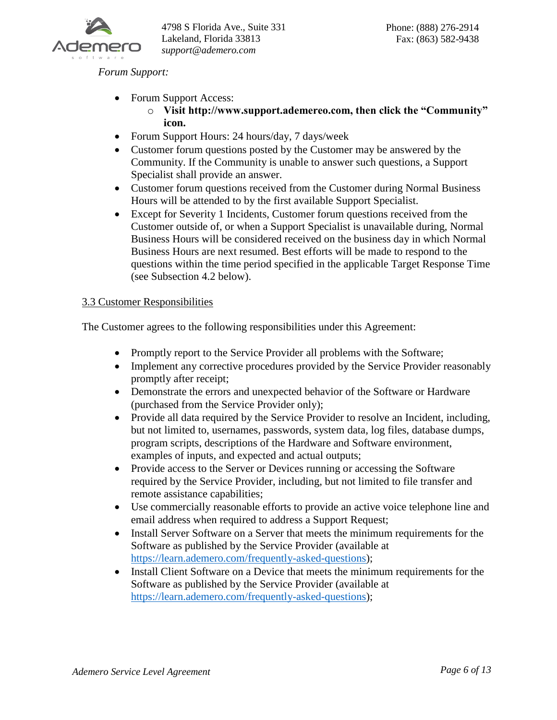

*Forum Support:*

- Forum Support Access:
	- o **Visit http://www.support.ademereo.com, then click the "Community" icon.**
- Forum Support Hours: 24 hours/day, 7 days/week
- Customer forum questions posted by the Customer may be answered by the Community. If the Community is unable to answer such questions, a Support Specialist shall provide an answer.
- Customer forum questions received from the Customer during Normal Business Hours will be attended to by the first available Support Specialist.
- Except for Severity 1 Incidents, Customer forum questions received from the Customer outside of, or when a Support Specialist is unavailable during, Normal Business Hours will be considered received on the business day in which Normal Business Hours are next resumed. Best efforts will be made to respond to the questions within the time period specified in the applicable Target Response Time (see Subsection 4.2 below).

## 3.3 Customer Responsibilities

The Customer agrees to the following responsibilities under this Agreement:

- Promptly report to the Service Provider all problems with the Software;
- Implement any corrective procedures provided by the Service Provider reasonably promptly after receipt;
- Demonstrate the errors and unexpected behavior of the Software or Hardware (purchased from the Service Provider only);
- Provide all data required by the Service Provider to resolve an Incident, including, but not limited to, usernames, passwords, system data, log files, database dumps, program scripts, descriptions of the Hardware and Software environment, examples of inputs, and expected and actual outputs;
- Provide access to the Server or Devices running or accessing the Software required by the Service Provider, including, but not limited to file transfer and remote assistance capabilities;
- Use commercially reasonable efforts to provide an active voice telephone line and email address when required to address a Support Request;
- Install Server Software on a Server that meets the minimum requirements for the Software as published by the Service Provider (available at [https://learn.ademero.com/frequently-asked-questions\)](https://learn.ademero.com/frequently-asked-questions);
- Install Client Software on a Device that meets the minimum requirements for the Software as published by the Service Provider (available at [https://learn.ademero.com/frequently-asked-questions\)](https://learn.ademero.com/frequently-asked-questions);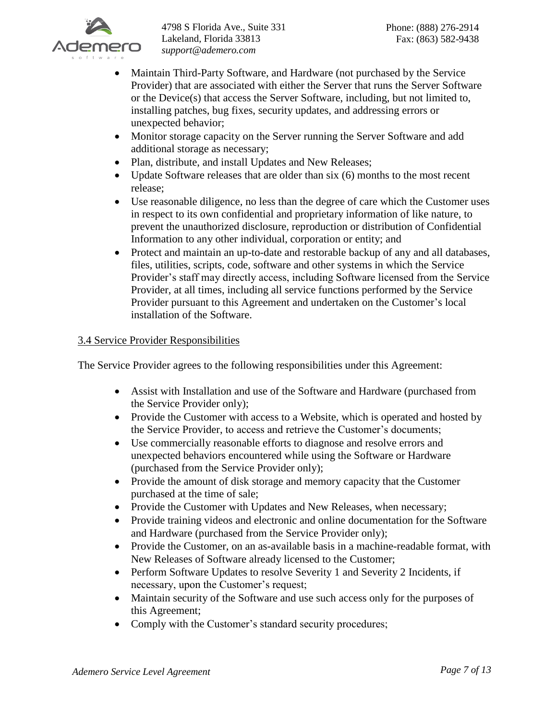

- Maintain Third-Party Software, and Hardware (not purchased by the Service Provider) that are associated with either the Server that runs the Server Software or the Device(s) that access the Server Software, including, but not limited to, installing patches, bug fixes, security updates, and addressing errors or unexpected behavior;
- Monitor storage capacity on the Server running the Server Software and add additional storage as necessary;
- Plan, distribute, and install Updates and New Releases;
- Update Software releases that are older than six (6) months to the most recent release;
- Use reasonable diligence, no less than the degree of care which the Customer uses in respect to its own confidential and proprietary information of like nature, to prevent the unauthorized disclosure, reproduction or distribution of Confidential Information to any other individual, corporation or entity; and
- Protect and maintain an up-to-date and restorable backup of any and all databases, files, utilities, scripts, code, software and other systems in which the Service Provider's staff may directly access, including Software licensed from the Service Provider, at all times, including all service functions performed by the Service Provider pursuant to this Agreement and undertaken on the Customer's local installation of the Software.

# 3.4 Service Provider Responsibilities

The Service Provider agrees to the following responsibilities under this Agreement:

- Assist with Installation and use of the Software and Hardware (purchased from the Service Provider only);
- Provide the Customer with access to a Website, which is operated and hosted by the Service Provider, to access and retrieve the Customer's documents;
- Use commercially reasonable efforts to diagnose and resolve errors and unexpected behaviors encountered while using the Software or Hardware (purchased from the Service Provider only);
- Provide the amount of disk storage and memory capacity that the Customer purchased at the time of sale;
- Provide the Customer with Updates and New Releases, when necessary;
- Provide training videos and electronic and online documentation for the Software and Hardware (purchased from the Service Provider only);
- Provide the Customer, on an as-available basis in a machine-readable format, with New Releases of Software already licensed to the Customer;
- Perform Software Updates to resolve Severity 1 and Severity 2 Incidents, if necessary, upon the Customer's request;
- Maintain security of the Software and use such access only for the purposes of this Agreement;
- Comply with the Customer's standard security procedures;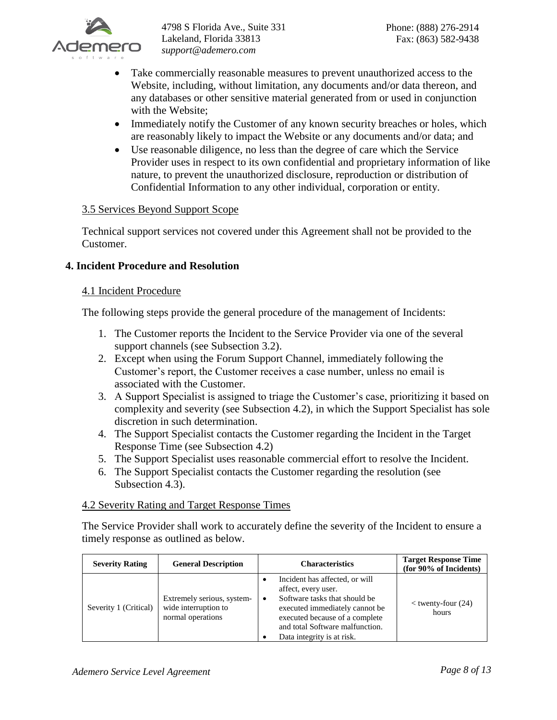

- Take commercially reasonable measures to prevent unauthorized access to the Website, including, without limitation, any documents and/or data thereon, and any databases or other sensitive material generated from or used in conjunction with the Website;
- Immediately notify the Customer of any known security breaches or holes, which are reasonably likely to impact the Website or any documents and/or data; and
- Use reasonable diligence, no less than the degree of care which the Service Provider uses in respect to its own confidential and proprietary information of like nature, to prevent the unauthorized disclosure, reproduction or distribution of Confidential Information to any other individual, corporation or entity.

## 3.5 Services Beyond Support Scope

Technical support services not covered under this Agreement shall not be provided to the Customer.

## **4. Incident Procedure and Resolution**

### 4.1 Incident Procedure

The following steps provide the general procedure of the management of Incidents:

- 1. The Customer reports the Incident to the Service Provider via one of the several support channels (see Subsection 3.2).
- 2. Except when using the Forum Support Channel, immediately following the Customer's report, the Customer receives a case number, unless no email is associated with the Customer.
- 3. A Support Specialist is assigned to triage the Customer's case, prioritizing it based on complexity and severity (see Subsection 4.2), in which the Support Specialist has sole discretion in such determination.
- 4. The Support Specialist contacts the Customer regarding the Incident in the Target Response Time (see Subsection 4.2)
- 5. The Support Specialist uses reasonable commercial effort to resolve the Incident.
- 6. The Support Specialist contacts the Customer regarding the resolution (see Subsection 4.3).

### 4.2 Severity Rating and Target Response Times

The Service Provider shall work to accurately define the severity of the Incident to ensure a timely response as outlined as below.

| <b>Severity Rating</b> | <b>General Description</b>                                              | <b>Characteristics</b>                                                                                                                                                                                                                        | <b>Target Response Time</b><br>(for 90% of Incidents) |
|------------------------|-------------------------------------------------------------------------|-----------------------------------------------------------------------------------------------------------------------------------------------------------------------------------------------------------------------------------------------|-------------------------------------------------------|
| Severity 1 (Critical)  | Extremely serious, system-<br>wide interruption to<br>normal operations | Incident has affected, or will<br>٠<br>affect, every user.<br>Software tasks that should be<br>$\bullet$<br>executed immediately cannot be<br>executed because of a complete<br>and total Software malfunction.<br>Data integrity is at risk. | $<$ twenty-four (24)<br>hours                         |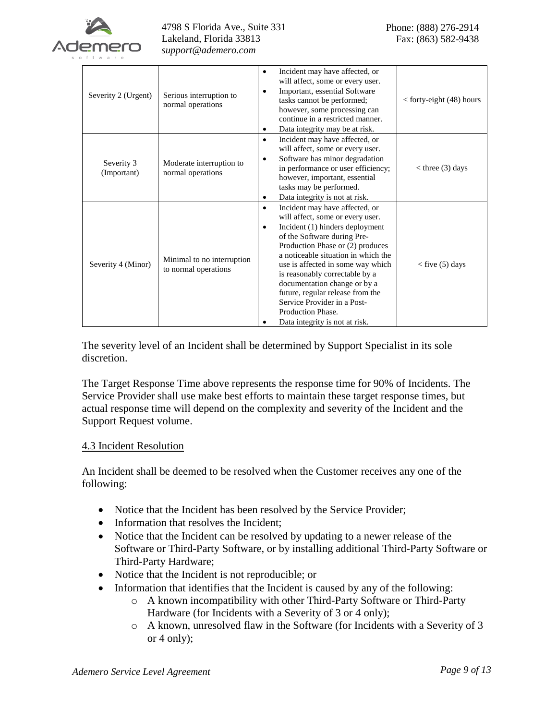

| Severity 2 (Urgent)       | Serious interruption to<br>normal operations       | Incident may have affected, or<br>will affect, some or every user.<br>Important, essential Software<br>٠<br>tasks cannot be performed;<br>however, some processing can<br>continue in a restricted manner.<br>Data integrity may be at risk.                                                                                                                                                                                                          | $<$ forty-eight (48) hours |
|---------------------------|----------------------------------------------------|-------------------------------------------------------------------------------------------------------------------------------------------------------------------------------------------------------------------------------------------------------------------------------------------------------------------------------------------------------------------------------------------------------------------------------------------------------|----------------------------|
| Severity 3<br>(Important) | Moderate interruption to<br>normal operations      | Incident may have affected, or<br>will affect, some or every user.<br>Software has minor degradation<br>٠<br>in performance or user efficiency;<br>however, important, essential<br>tasks may be performed.<br>Data integrity is not at risk.                                                                                                                                                                                                         | $<$ three (3) days         |
| Severity 4 (Minor)        | Minimal to no interruption<br>to normal operations | Incident may have affected, or<br>will affect, some or every user.<br>Incident (1) hinders deployment<br>٠<br>of the Software during Pre-<br>Production Phase or (2) produces<br>a noticeable situation in which the<br>use is affected in some way which<br>is reasonably correctable by a<br>documentation change or by a<br>future, regular release from the<br>Service Provider in a Post-<br>Production Phase.<br>Data integrity is not at risk. | $<$ five (5) days          |

The severity level of an Incident shall be determined by Support Specialist in its sole discretion.

The Target Response Time above represents the response time for 90% of Incidents. The Service Provider shall use make best efforts to maintain these target response times, but actual response time will depend on the complexity and severity of the Incident and the Support Request volume.

### 4.3 Incident Resolution

An Incident shall be deemed to be resolved when the Customer receives any one of the following:

- Notice that the Incident has been resolved by the Service Provider;
- Information that resolves the Incident;
- Notice that the Incident can be resolved by updating to a newer release of the Software or Third-Party Software, or by installing additional Third-Party Software or Third-Party Hardware;
- Notice that the Incident is not reproducible; or
- Information that identifies that the Incident is caused by any of the following:
	- o A known incompatibility with other Third-Party Software or Third-Party Hardware (for Incidents with a Severity of 3 or 4 only);
	- o A known, unresolved flaw in the Software (for Incidents with a Severity of 3 or 4 only);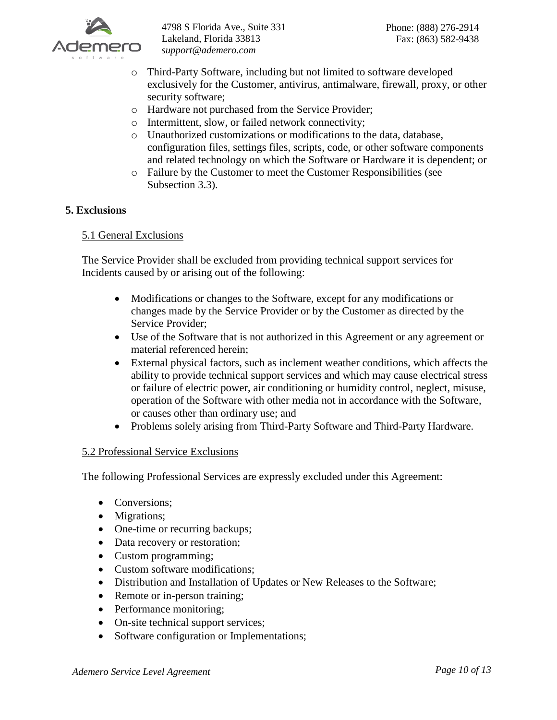

- o Third-Party Software, including but not limited to software developed exclusively for the Customer, antivirus, antimalware, firewall, proxy, or other security software;
- o Hardware not purchased from the Service Provider;
- o Intermittent, slow, or failed network connectivity;
- o Unauthorized customizations or modifications to the data, database, configuration files, settings files, scripts, code, or other software components and related technology on which the Software or Hardware it is dependent; or
- o Failure by the Customer to meet the Customer Responsibilities (see Subsection 3.3).

### **5. Exclusions**

### 5.1 General Exclusions

The Service Provider shall be excluded from providing technical support services for Incidents caused by or arising out of the following:

- Modifications or changes to the Software, except for any modifications or changes made by the Service Provider or by the Customer as directed by the Service Provider;
- Use of the Software that is not authorized in this Agreement or any agreement or material referenced herein;
- External physical factors, such as inclement weather conditions, which affects the ability to provide technical support services and which may cause electrical stress or failure of electric power, air conditioning or humidity control, neglect, misuse, operation of the Software with other media not in accordance with the Software, or causes other than ordinary use; and
- Problems solely arising from Third-Party Software and Third-Party Hardware.

### 5.2 Professional Service Exclusions

The following Professional Services are expressly excluded under this Agreement:

- Conversions;
- Migrations;
- One-time or recurring backups;
- Data recovery or restoration;
- Custom programming;
- Custom software modifications;
- Distribution and Installation of Updates or New Releases to the Software;
- Remote or in-person training;
- Performance monitoring;
- On-site technical support services;
- Software configuration or Implementations;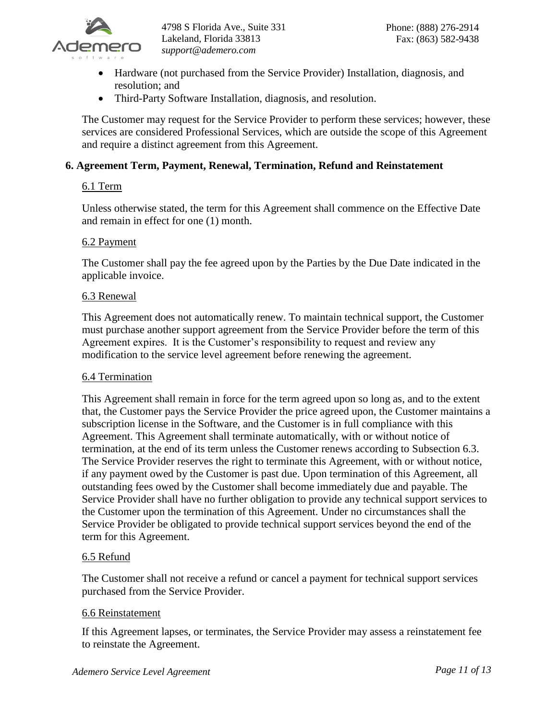

- Hardware (not purchased from the Service Provider) Installation, diagnosis, and resolution; and
- Third-Party Software Installation, diagnosis, and resolution.

The Customer may request for the Service Provider to perform these services; however, these services are considered Professional Services, which are outside the scope of this Agreement and require a distinct agreement from this Agreement.

## **6. Agreement Term, Payment, Renewal, Termination, Refund and Reinstatement**

### 6.1 Term

Unless otherwise stated, the term for this Agreement shall commence on the Effective Date and remain in effect for one (1) month.

### 6.2 Payment

The Customer shall pay the fee agreed upon by the Parties by the Due Date indicated in the applicable invoice.

#### 6.3 Renewal

This Agreement does not automatically renew. To maintain technical support, the Customer must purchase another support agreement from the Service Provider before the term of this Agreement expires. It is the Customer's responsibility to request and review any modification to the service level agreement before renewing the agreement.

### 6.4 Termination

This Agreement shall remain in force for the term agreed upon so long as, and to the extent that, the Customer pays the Service Provider the price agreed upon, the Customer maintains a subscription license in the Software, and the Customer is in full compliance with this Agreement. This Agreement shall terminate automatically, with or without notice of termination, at the end of its term unless the Customer renews according to Subsection 6.3. The Service Provider reserves the right to terminate this Agreement, with or without notice, if any payment owed by the Customer is past due. Upon termination of this Agreement, all outstanding fees owed by the Customer shall become immediately due and payable. The Service Provider shall have no further obligation to provide any technical support services to the Customer upon the termination of this Agreement. Under no circumstances shall the Service Provider be obligated to provide technical support services beyond the end of the term for this Agreement.

### 6.5 Refund

The Customer shall not receive a refund or cancel a payment for technical support services purchased from the Service Provider.

### 6.6 Reinstatement

If this Agreement lapses, or terminates, the Service Provider may assess a reinstatement fee to reinstate the Agreement.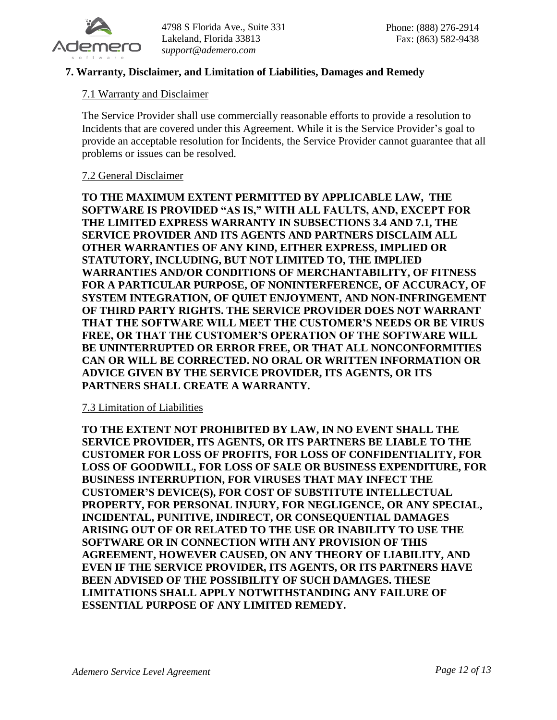

## **7. Warranty, Disclaimer, and Limitation of Liabilities, Damages and Remedy**

### 7.1 Warranty and Disclaimer

The Service Provider shall use commercially reasonable efforts to provide a resolution to Incidents that are covered under this Agreement. While it is the Service Provider's goal to provide an acceptable resolution for Incidents, the Service Provider cannot guarantee that all problems or issues can be resolved.

#### 7.2 General Disclaimer

**TO THE MAXIMUM EXTENT PERMITTED BY APPLICABLE LAW, THE SOFTWARE IS PROVIDED "AS IS," WITH ALL FAULTS, AND, EXCEPT FOR THE LIMITED EXPRESS WARRANTY IN SUBSECTIONS 3.4 AND 7.1, THE SERVICE PROVIDER AND ITS AGENTS AND PARTNERS DISCLAIM ALL OTHER WARRANTIES OF ANY KIND, EITHER EXPRESS, IMPLIED OR STATUTORY, INCLUDING, BUT NOT LIMITED TO, THE IMPLIED WARRANTIES AND/OR CONDITIONS OF MERCHANTABILITY, OF FITNESS FOR A PARTICULAR PURPOSE, OF NONINTERFERENCE, OF ACCURACY, OF SYSTEM INTEGRATION, OF QUIET ENJOYMENT, AND NON-INFRINGEMENT OF THIRD PARTY RIGHTS. THE SERVICE PROVIDER DOES NOT WARRANT THAT THE SOFTWARE WILL MEET THE CUSTOMER'S NEEDS OR BE VIRUS FREE, OR THAT THE CUSTOMER'S OPERATION OF THE SOFTWARE WILL BE UNINTERRUPTED OR ERROR FREE, OR THAT ALL NONCONFORMITIES CAN OR WILL BE CORRECTED. NO ORAL OR WRITTEN INFORMATION OR ADVICE GIVEN BY THE SERVICE PROVIDER, ITS AGENTS, OR ITS PARTNERS SHALL CREATE A WARRANTY.**

#### 7.3 Limitation of Liabilities

**TO THE EXTENT NOT PROHIBITED BY LAW, IN NO EVENT SHALL THE SERVICE PROVIDER, ITS AGENTS, OR ITS PARTNERS BE LIABLE TO THE CUSTOMER FOR LOSS OF PROFITS, FOR LOSS OF CONFIDENTIALITY, FOR LOSS OF GOODWILL, FOR LOSS OF SALE OR BUSINESS EXPENDITURE, FOR BUSINESS INTERRUPTION, FOR VIRUSES THAT MAY INFECT THE CUSTOMER'S DEVICE(S), FOR COST OF SUBSTITUTE INTELLECTUAL PROPERTY, FOR PERSONAL INJURY, FOR NEGLIGENCE, OR ANY SPECIAL, INCIDENTAL, PUNITIVE, INDIRECT, OR CONSEQUENTIAL DAMAGES ARISING OUT OF OR RELATED TO THE USE OR INABILITY TO USE THE SOFTWARE OR IN CONNECTION WITH ANY PROVISION OF THIS AGREEMENT, HOWEVER CAUSED, ON ANY THEORY OF LIABILITY, AND EVEN IF THE SERVICE PROVIDER, ITS AGENTS, OR ITS PARTNERS HAVE BEEN ADVISED OF THE POSSIBILITY OF SUCH DAMAGES. THESE LIMITATIONS SHALL APPLY NOTWITHSTANDING ANY FAILURE OF ESSENTIAL PURPOSE OF ANY LIMITED REMEDY.**